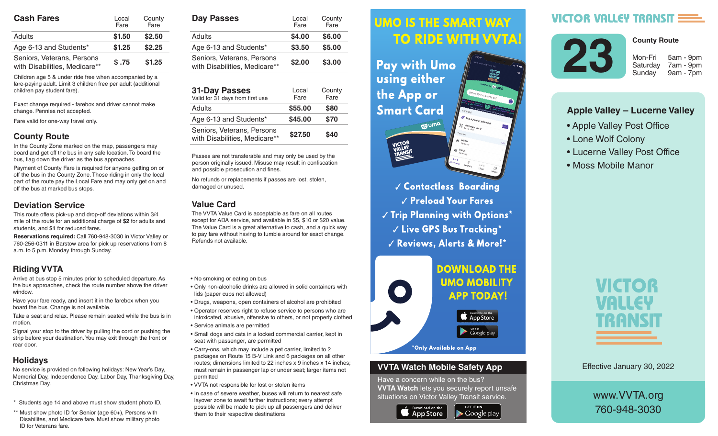| <b>Cash Fares</b>                                           | County<br>Local<br>Fare<br>Fare |        |  |
|-------------------------------------------------------------|---------------------------------|--------|--|
| Adults                                                      | \$1.50                          | \$2.50 |  |
| Age 6-13 and Students*                                      | \$1.25                          | \$2.25 |  |
| Seniors, Veterans, Persons<br>with Disabilities, Medicare** | \$.75                           | \$1.25 |  |

Children age 5 & under ride free when accompanied by a fare-paying adult. Limit 3 children free per adult (additional children pay student fare).

Exact change required - farebox and driver cannot make change. Pennies not accepted.

Fare valid for one-way travel only.

#### **County Route**

In the County Zone marked on the map, passengers may board and get off the bus in any safe location. To board the bus, flag down the driver as the bus approaches.

Payment of County Fare is required for anyone getting on or off the bus in the County Zone. Those riding in only the local part of the route pay the Local Fare and may only get on and off the bus at marked bus stops.

#### **Deviation Service**

This route offers pick-up and drop-off deviations within 3/4 mile of the route for an additional charge of **\$2** for adults and students, and **\$1** for reduced fares.

**Reservations required:** Call 760-948-3030 in Victor Valley or 760-256-0311 in Barstow area for pick up reservations from 8 a.m. to 5 p.m. Monday through Sunday.

## **Riding VVTA**

Arrive at bus stop 5 minutes prior to scheduled departure. As the bus approaches, check the route number above the driver window.

Have your fare ready, and insert it in the farebox when you board the bus. Change is not available.

Take a seat and relax. Please remain seated while the bus is in motion.

Signal your stop to the driver by pulling the cord or pushing the strip before your destination. You may exit through the front or rear door.

### **Holidays**

No service is provided on following holidays: New Year's Day, Memorial Day, Independence Day, Labor Day, Thanksgiving Day, Christmas Day.

- \* Students age 14 and above must show student photo ID.
- \*\* Must show photo ID for Senior (age 60+), Persons with Disabilites, and Medicare fare. Must show military photo ID for Veterans fare.

| <b>Day Passes</b>                                           | Local<br>Fare | County<br>Fare |  |
|-------------------------------------------------------------|---------------|----------------|--|
| Adults                                                      | \$4.00        | \$6.00         |  |
| Age 6-13 and Students*                                      | \$3.50        | \$5.00         |  |
| Seniors, Veterans, Persons<br>with Disabilities, Medicare** | \$2.00        | \$3.00         |  |

| <b>31-Day Passes</b><br>Valid for 31 days from first use    | Local<br>Fare | County<br>Fare |
|-------------------------------------------------------------|---------------|----------------|
| Adults                                                      | \$55.00       | \$80           |
| Age 6-13 and Students*                                      | \$45.00       | \$70           |
| Seniors, Veterans, Persons<br>with Disabilities, Medicare** | \$27.50       | \$40           |

Passes are not transferable and may only be used by the person originally issued. Misuse may result in confiscation and possible prosecution and fines.

No refunds or replacements if passes are lost, stolen, damaged or unused.

#### **Value Card**

The VVTA Value Card is acceptable as fare on all routes except for ADA service, and available in \$5, \$10 or \$20 value. The Value Card is a great alternative to cash, and a quick way to pay fare without having to fumble around for exact change. Refunds not available.

- No smoking or eating on bus
- Only non-alcoholic drinks are allowed in solid containers with lids (paper cups not allowed)
- Drugs, weapons, open containers of alcohol are prohibited
- Operator reserves right to refuse service to persons who are intoxicated, abusive, offensive to others, or not properly clothed
- Service animals are permitted
- Small dogs and cats in a locked commercial carrier, kept in seat with passenger, are permitted
- Carry-ons, which may include a pet carrier, limited to 2 packages on Route 15 B-V Link and 6 packages on all other routes; dimensions limited to 22 inches x 9 inches x 14 inches; must remain in passenger lap or under seat; larger items not permitted
- VVTA not responsible for lost or stolen items
- In case of severe weather, buses will return to nearest safe layover zone to await further instructions; every attempt possible will be made to pick up all passengers and deliver them to their respective destinations

#### *<u>UMO IS THE SMART WAY</u>* Arrive at bus stop 5 minutes prior to scheduled departure. As the bus approximation of the bus approximation of the bus approximation of the bus approximation route number above the driver window.

 $\mathbf{h}$  , and it is instructed in the farebox insert in the farebox  $\mathbf{h}$ **Fay with UMO AND SOLUTE:** Using either the bus is in motion.  $\mathbf{S}$  since the driver by pulling the driver by pulling the cord or  $\mathbf{S}$ **Smart Card** 



**Contactless Boarding**  $\sqrt{\frac{P_{\text{rel}}}{P_{\text{rad}}}}$  Preload Your Fares  $\parallel$   $\parallel$   $\parallel$  rip rignning with Uptions  $\parallel$  $\sim$   $\sim$   $\sim$   $\sim$  CPS Rus Tracking  $^{\star}$ are intoxicated, abusive, offensive to others, or not properly √ Reviews, Alerts & More!\*



#### **VVTA Watch Mobile Safety App**

Have a concern while on the bus? **VVTA Watch** lets you securely report unsafe situations on Victor Valley Transit service.

**GET IT ON** 

 $\blacktriangleright$  Google play



**VICTOR VALLEY TRANSIT** 



7am - 9pm

**County Route**

9am - 7pm

## **Apple Valley – Lucerne Valley**

- Apple Valley Post Office
- Lone Wolf Colony
- Lucerne Valley Post Office
- Moss Mobile Manor



Effective January 30, 2022

## www.VVTA.org 760-948-3030